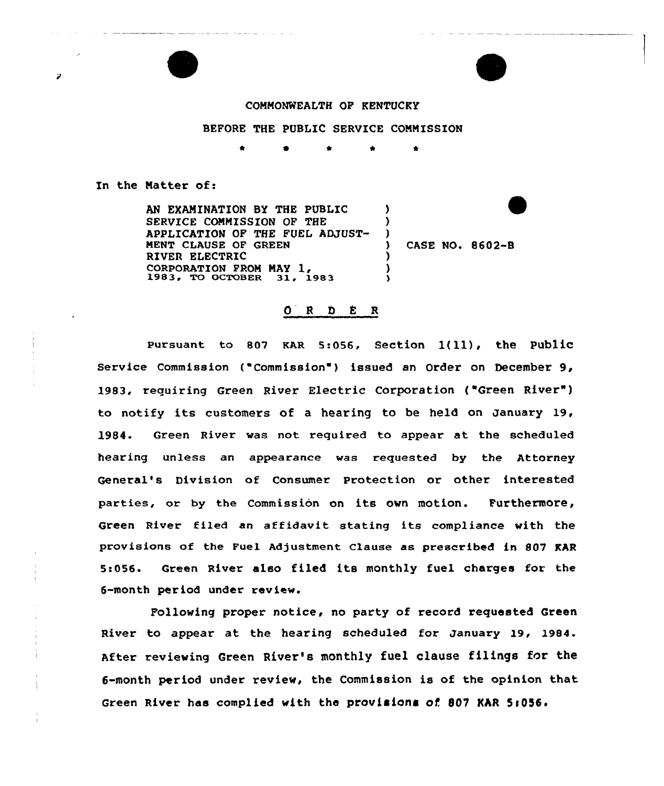

an and the second contract of the second company of

## COMMONWEALTH OF KENTUCKY

## BEFORE THE PUBLIC SERVICE COMMISSION

0 \* \*

In the Matter of:

Þ

AN EXAMINATION BX THE PUBLIC SERVICE COMMISSION OF THE APPLICATION OF THE FUEL ADJUST-MENT CLAUSE OF GREEN RIVER ELECTRIC CORPORATION FROM MAY 1,<br>1983, TO OCTOBER 31, 1983 ) ) )<br>\ ) ) )

) CASE NO. 8602-B

## $O$  R D E R

Pursuant to 807 KAR 5:056, Section  $1(11)$ , the Public Service Commission {"Commission"} issued an Order on December 9, 1983, requiring Green River Electric Corporation ("Green River") to notify its customers of a hearing to be held on January 19, 1984. Green River was not required to appear at the scheduled hearing unless an appearance was requested by the Attorney General's Division of Consumer Protection or other interested parties, or by the Commission on its own motion. Furthermore, Green River filed an affidavit stating its compliance with the provisions of the Fuel Adjustment Clause as prescribed in 807 KAR 5>056. Green River also filed its monthly fuel charges for the 6-month per iod under review.

Following proper notice, no party of record requested Green River to appear at the hearing scheduled for January 19, 1984. After reviewing Green River's monthly fuel clause filings for the 6-month period under review, the Commission is of the opinion that Green River has complied with the provisions of 807 KAR 5:056.